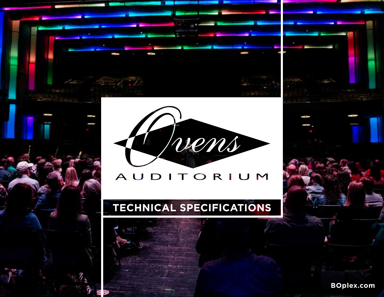

#### $A<sub>l</sub>$ M R

# **TECHNICAL SPECIFICATIONS**

# **BOplex.com**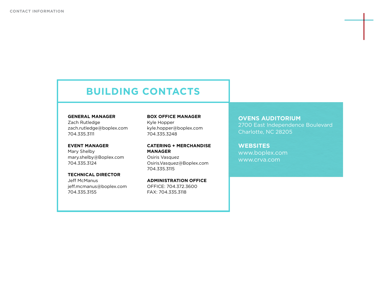# **BUILDING CONTACTS**

#### **GENERAL MANAGER**

Zach Rutledge zach.rutledge@boplex.com 704.335.3111

# **EVENT MANAGER**

Mary Shelby mary.shelby@Boplex.com 704.335.3124

# **TECHNICAL DIRECTOR**

Jeff McManus jeff.mcmanus@boplex.com 704.335.3155

# **BOX OFFICE MANAGER**

Kyle Hopper kyle.hopper@boplex.com 704.335.3248

**CATERING + MERCHANDISE MANAGER**  Osiris Vasquez Osiris.Vasquez@Boplex.com 704.335.3115

**ADMINISTRATION OFFICE**  OFFICE: 704.372.3600 FAX: 704.335.3118

**OVENS AUDITORIUM** 2700 East Independence Boulevard

Charlotte, NC 28205

**WEBSITES** www.boplex.com www.crva.com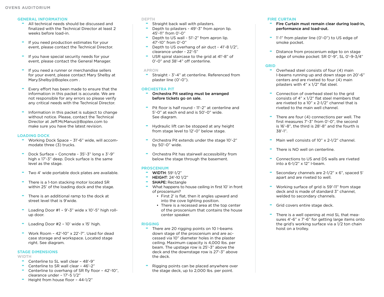#### **GENERAL INFORMATION**

- All technical needs should be discussed and finalized with the Technical Director at least 2 weeks before load-in.
- If you need production estimates for your event, please contact the Technical Director.
- If you have special security needs for your event, please contact the General Manager.
- If you need a runner or merchandise sellers for your event, please contact Mary Shelby at Mary.Shelby@Boplex.com .
- Every effort has been made to ensure that the information in this packet is accurate. We are not responsible for any errors so please verify any critical needs with the Technical Director.
- Information in this packet is subject to change without notice. Please, contact the Technical Director at Jeff.McManus@Boplex.com to make sure you have the latest revision.

# **LOADING DOCK**

- Working Dock Space 31'-6" wide, will accommodate three (3) trucks.
- Dock Surface Concrete 35'-3" long x 3'-9" high x 17'-3" deep. Dock surface is the same level as the stage.
- Two 4' wide portable dock plates are available.
- There is a 1-ton stacking motor located SR within 25' of the loading dock and the stage.
- There is an additional ramp to the dock at street level that is 9'wide.
- $-$  Loading Door #1 9'-3" wide x 10'-5" high rollup door.
- $\blacksquare$  Loading Door #2 10' wide x 15' high.
- Work Room 42'-10" x 22'-7". Used for dead case storage and workspace. Located stage right. See diagram.

# **STAGE DIMENSIONS**

**WIDTH**

- Centerline to SL wall clear 48'-9"
- Centerline to SR wall clear 46'-2"
- Centerline to overhang of SR fly floor 42'-10", clearance under – 17'-5 1/2"

# Height from house floor - 44-1/2"

#### **DEPTH**

- **Straight back wall with pilasters.**<br> **Parameter of the pilasters 49'-3" from a**
- Depth to pilasters 49'-3" from apron lip. 45'-11" from 0'-0"
- Depth to US wall 51'-2" from apron lip. 47'-10" from 0'-0"
- Depth to US overhang of air duct 41'-8 1/2", clearance under - 22'-5"
- USR spiral staircase to the grid at 41'-8" of 0'-0" and 38'-4" off centerline.

#### **APRON**

Straight - 3'-4" at centerline. Referenced from plaster line (0'-0").

#### **ORCHESTRA PIT**

- Orchestra Pit seating must be arranged before tickets go on sale.
- Pit floor is half round 11'-2" at centerline and 5'-0" at each end and is 50'-0" wide. See diagram.
- Hydraulic lift can be stopped at any height from stage level to 12'-0" below stage.
- Orchestra Pit extends under the stage 10'-2" by 50'-0" wide.
- Orchestra Pit has stairwell accessibility from below the stage through the basement.

# **PROSCENIUM**

- WIDTH: 59'-1/2"
- HEIGHT: 24'-10 1/2"
- SHAPE: Rectangle
- What happens to house ceiling in first 10' in front of proscenium?
	- First 2' is flat, then it angles upward and into the cove lighting position.
	- There is a recessed area at the top center of the proscenium that contains the house center speaker.

# **RIGGING**

- There are 20 rigging points on 10 I-beams down stage of the proscenium and are accessed via 10" diameter holes in the plaster ceiling. Maximum capacity is 4,000 lbs. per beam. The upstage row is 25'-3" above the deck and the downstage row is 27'-3" above the deck.
- Rigging points can be placed anywhere over the stage deck, up to 2,000 lbs. per point.

#### **FIRE CURTAIN**

- Fire Curtain must remain clear during load-in, performance and load-out.
- 1'-1" from plaster line (0'-0") to US edge of smoke pocket.
- Distance from proscenium edge to on stage edge of smoke pocket: SR 0'-9", SL 0'-9-3/4"

#### **GRID**

- Overhead steel consists of four (4) main I-beams running up and down stage on 20'-6" centers and are riveted to four (4) main pilasters with 4" x 1/2" flat steel.
- Connection of overhead steel to the grid consists of 4" x 1/2" flat steel members that are riveted to a 10" x 2-1/2" channel that is riveted to the main well channel.
- There are four (4) connections per well. The first measures 7'-3" from 0'-0", the second is 16'-8", the third is 28'-8" and the fourth is 38'-1".
- Main well consists of 10" x 2-1/2" channel.
- There is NO well on centerline.
- Connections to US and DS walls are riveted into a 6-1/2" x 12" I-beam.
- Secondary channels are 2-1/2" x 6", spaced 5' apart and are riveted to well.
- Working surface of grid is 59'-11" from stage deck and is made of standard 3" channel, welded to secondary channels.
- Grid covers entire stage deck.
- There is a well opening at mid SL that measures 4'-6" x 7'-6" for getting large items onto the grid's working surface via a 1/2 ton chain hoist on a trolley.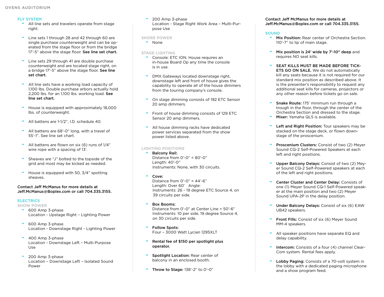# **FLY SYSTEM**

- All line sets and travelers operate from stage right.
- Line sets 1 through 28 and 42 through 60 are single purchase counterweight and can be operated from the stage floor or from the bridge 17'-5" above the stage floor. See line set chart.
- Line sets 29 through 41 are double purchase counterweight and are located stage right, on a bridge 17'-5" above the stage floor. See line set chart.
- All line sets have a working load capacity of 1,100 lbs. Double purchase arbors actually hold 2,200 lbs. for an 1,100 lbs. working load. See line set chart.
- House is equipped with approximately 18,000 lbs. of counterweight.
- All battens are 1-1/2", I.D. schedule 40.
- All battens are 68'-0" long, with a travel of 55'-1". See line set chart.
- All battens are flown on six  $(6)$  runs of  $1/4$ " wire rope with a spacing of 13'.
- Sheaves are "J" bolted to the topside of the grid and most may be kicked as needed.
- House is equipped with 50, 3/4" spotting sheaves.

#### Contact Jeff McManus for more details at Jeff.McManus@Boplex.com or call 704.335.3155.

# **ELECTRICS**

**SHOW POWER**

- 600 Amp 3-phase Location - Upstage Right – Lighting Power
- 600 Amp 3-phase Location - Downstage Right - Lighting Power
- $-400$  Amp 3-phase Location - Downstage Left – Multi-Purpose Use
- 200 Amp 3-phase Location – Downstage Left – Isolated Sound Power

- 200 Amp 3-phase Location - Stage Right Work Area – Multi-Purpose Use

#### **SHORE POWER**

- None

# **STAGE LIGHTING**

- Console: ETC ION. House requires an in-house Board Op any time the console is in use.
- DMX Gateways located downstage right, downstage left and front of house gives the capability to operate all of the house dimmers from the touring company's console.
- On stage dimming consists of 192 ETC Sensor 20 amp dimmers.
- Front of house dimming consists of 129 ETC Sensor 20 amp dimmers.
- All house dimming racks have dedicated power services separated from the show power listed above.

# **LIGHTING POSITIONS**

- Balcony Rail: Distance from 0'-0" = 80'-0" Length: 40'-0" Instruments: None, with 30 circuits.
- Cove:

Distance from  $0'-0'' = 44'-6''$ Length: Over 60' Angle: Instruments: 26 - 19 degree ETC Source 4, on 39 circuits per side.

- Box Booms:

Distance from 0'-0" at Center Line = 50'-6" Instruments: 10 per side, 19 degree Source 4, on 30 circuits per side.

- Follow Spots: Four – 3000 Watt Lycian 1295XLT
- Rental fee of \$150 per spotlight plus operator.
- **-** Spotlight Location: Rear center of balcony in an enclosed booth.
- Throw to Stage:  $138' 2"$  to  $0' 0"$

#### Contact Jeff McManus for more details at Jeff.McManus@Boplex.com or call 704.335.3155.

#### **SOUND**

- **Mix Position:** Rear center of Orchestra Section. 110'-7" to lip of main stage.
- Mix position is 24' wide by 7'-10" deep and requires NO seat kills.
- SEAT KILLS MUST BE MADE BEFORE TICK-ETS GO ON SALE. We do not automatically kill any seats because it is not required for our standard mix position as described above. It is the presenter's responsibility to request any additional seat kills for cameras, projectors or any other reason before tickets go on sale.
- **-** Snake Route: 175' minimum run through a trough in the floor, through the center of the Orchestra Section and dressed to the stage.
- Mixer: Yamaha QL5 is available.
- Left and Right Position: Tour speakers may be stacked on the stage deck, or flown downstage of the proscenium.
- Proscenium Clusters: Consist of two (2) Meyer Sound CQ-2 Self-Powered Speakers at each left and right positions.
- Upper Balcony Delays: Consist of two (2) Meyer Sound CQ-2 Self-Powered speakers at each of the left and right positions.
- **-** Center Cluster and Center Delay: Consists of one (1) Meyer Sound CQ-1 Self-Powered speaker at the main position and two (2) Meyer Sound UPA-2P in the delay position.
- **Under Balcony Delays: Consist of six (6) EAW** UB42 speakers.
- **Front Fills:** Consist of six (6) Meyer Sound MM-4 speakers.
- All speaker positions have separate EQ and delay capability.
- Intercom: Consists of a four (4) channel Clear-Com system. Rental fees apply.
- Lobby Paging: Consists of a 70-volt system in the lobby with a dedicated paging microphone and a show program feed.